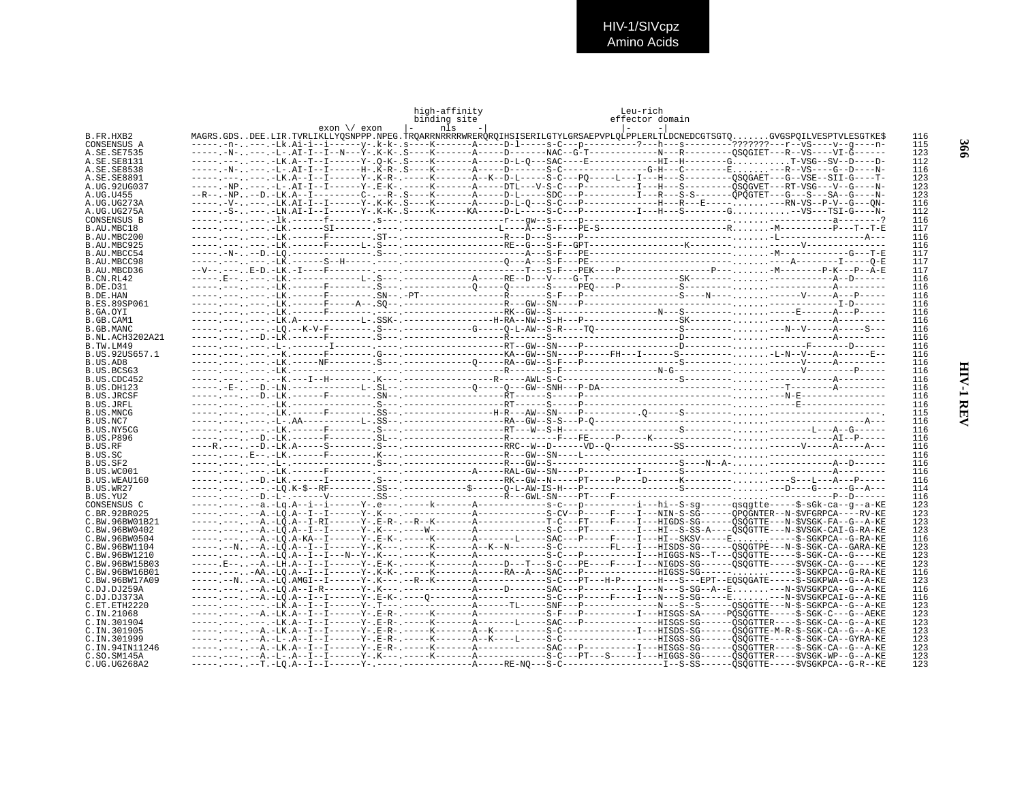HIV-1/SIVcpz<br>Amino Acids

|                                | exon \/ exon                                                                                                                                                                                                                                                             | high-affinity<br>binding site<br>$\vert - \vert$<br>nls | Leu-rich<br>effector domain<br>$\vert - \vert$<br>$\sim$ |            |
|--------------------------------|--------------------------------------------------------------------------------------------------------------------------------------------------------------------------------------------------------------------------------------------------------------------------|---------------------------------------------------------|----------------------------------------------------------|------------|
| B.FR.HXB2                      | MAGRS.GDSDEE.LIR.TVRLIKLLYOSNPPP.NPEG.TROARRNRRRRWREROROIHSISERILGTYLGRSAEPVPLOLPPLERLTLDCNEDCGTSGTOGVGSPOILVESPTVLESGTKE\$                                                                                                                                              |                                                         |                                                          | 116        |
| CONSENSUS A                    | -----.-n----.-Lk.Ai-i--i------y-.k-k-.s----K-------A----D-l-----s-C---p-----------?---h---s--------???????---r--vS----v--q----n-                                                                                                                                         |                                                         |                                                          | 115        |
| A.SE.SE7535                    |                                                                                                                                                                                                                                                                          |                                                         |                                                          | 123        |
| A.SE.SE8131<br>A.SE.SE8538     | ----- .--- .--- LK.A--T--I------Y-.0-K-.S----K-------A-----D-L-0---SAC----E-----------HI--H--------GT-VSG--SV--D----D-                                                                                                                                                   |                                                         |                                                          | 112<br>116 |
| A.SE.SE8891                    |                                                                                                                                                                                                                                                                          |                                                         |                                                          | 123        |
| A.UG.92UG037                   |                                                                                                                                                                                                                                                                          |                                                         |                                                          | 123        |
| A.UG.U455                      |                                                                                                                                                                                                                                                                          |                                                         |                                                          | 123        |
| A.UG.UG273A                    | -----.-V----.-LK.AI-I--I------Y-.K-K-.S----K--------A-----D-L-O---S-C---P----------------H---R---E--------RN-VS--P-V--G---ON-                                                                                                                                            |                                                         |                                                          | 116        |
| A.UG.UG275A                    | -----.-S----.-LN.AI-I--I------Y-.K-K-.S----K-------KA-----D-L----S-C---P----------I---H---S--------G--VS---TSI-G-----N-                                                                                                                                                  |                                                         |                                                          | 112<br>116 |
| CONSENSUS B<br>B.AU.MBC18      |                                                                                                                                                                                                                                                                          |                                                         |                                                          | 117        |
| B.AU.MBC200                    |                                                                                                                                                                                                                                                                          |                                                         |                                                          | 116        |
| B.AU.MBC925                    |                                                                                                                                                                                                                                                                          |                                                         |                                                          | 116        |
| B.AU.MBCC54                    |                                                                                                                                                                                                                                                                          |                                                         |                                                          | 117        |
| B.AU.MBCC98                    |                                                                                                                                                                                                                                                                          |                                                         |                                                          | 117        |
| B.AU.MBCD36<br>B.CN.RL42       |                                                                                                                                                                                                                                                                          |                                                         |                                                          | 117<br>116 |
| B.DE.D31                       |                                                                                                                                                                                                                                                                          |                                                         |                                                          | 116        |
| B.DE.HAN                       |                                                                                                                                                                                                                                                                          |                                                         |                                                          | 116        |
| <b>B.ES.89SP061</b>            |                                                                                                                                                                                                                                                                          |                                                         |                                                          | 116        |
| B.GA.OYI                       |                                                                                                                                                                                                                                                                          |                                                         |                                                          | 116        |
| B.GB.CAM1<br>B.GB.MANC         | -----, ---, ---, -LO, --K-V-F-------, S---, -----------G----O-L-AW--S-R----TO---------------S----------,,,,,,,---N--V-----A-----S---                                                                                                                                     |                                                         |                                                          | 116<br>116 |
| B.NL.ACH3202A21                |                                                                                                                                                                                                                                                                          |                                                         |                                                          | 116        |
| B.TW.LM49                      |                                                                                                                                                                                                                                                                          |                                                         |                                                          | 116        |
| B.US.92US657.1                 |                                                                                                                                                                                                                                                                          |                                                         |                                                          | 116        |
| B.US.AD8                       |                                                                                                                                                                                                                                                                          |                                                         |                                                          | 116        |
| B.US.BCSG3                     |                                                                                                                                                                                                                                                                          |                                                         |                                                          | 116        |
| B.US.CDC452<br>B.US.DH123      |                                                                                                                                                                                                                                                                          |                                                         |                                                          | 116<br>116 |
| <b>B.US.JRCSF</b>              |                                                                                                                                                                                                                                                                          |                                                         |                                                          | 116        |
| B.US.JRFL                      |                                                                                                                                                                                                                                                                          |                                                         |                                                          | 116        |
| B.US.MNCG                      |                                                                                                                                                                                                                                                                          |                                                         |                                                          | 115        |
| B.US.NC7                       |                                                                                                                                                                                                                                                                          |                                                         |                                                          | 116        |
| B.US.NY5CG<br><b>B.US.P896</b> |                                                                                                                                                                                                                                                                          |                                                         |                                                          | 116<br>116 |
| B.US.RF                        |                                                                                                                                                                                                                                                                          |                                                         |                                                          | 116        |
| B.US.SC                        |                                                                                                                                                                                                                                                                          |                                                         |                                                          | 116        |
| B.US.SF2                       |                                                                                                                                                                                                                                                                          |                                                         |                                                          | 116        |
| B.US.WC001                     |                                                                                                                                                                                                                                                                          |                                                         |                                                          | 116        |
| B.US.WEAU160                   |                                                                                                                                                                                                                                                                          |                                                         |                                                          | 116<br>114 |
| B.US.WR27<br>B.US.YU2          |                                                                                                                                                                                                                                                                          |                                                         |                                                          | 116        |
| CONSENSUS C                    |                                                                                                                                                                                                                                                                          |                                                         |                                                          | 123        |
| C.BR.92BR025                   | -----, ---, .--A, -LO,A--I--I------Y-,K---, ------------A------------S-CV--P-----F---I---NIN-S-SG------OPOGNTER--N-SVFGRPCA----RV-KE                                                                                                                                     |                                                         |                                                          | 123        |
| C.BW.96BW01B21                 | ----- .-- --A.-LÕ.A--I-RI------Y-.E-R-.--R--K-------A------------T-C---FT----F----IIGDS-SG------ÕSÕGTTE---N-ŠVSGK-FA--G--A-KE                                                                                                                                            |                                                         |                                                          | 123        |
| C.BW.96BW0402                  | -----.---A.-LÕ.A-KA--I------Y-.E-K-.-----K------A-------L-----SAC---P----F---I---HI--SKSV-----E------\$-SGKPCA--G-RA-KE                                                                                                                                                  |                                                         |                                                          | 123        |
| C.BW.96BW0504<br>C.BW.96BW1104 | ----- --N--A.-LO.A--I--I------Y-.K--- -----K-------A--K--N--------S-C--------FL---I--HISDS-SG------OSOGTPE---N-S-SGK-CA--GARA-KE                                                                                                                                         |                                                         |                                                          | 116<br>123 |
| C.BW.96BW1210                  |                                                                                                                                                                                                                                                                          |                                                         |                                                          | 123        |
| C. BW. 96BW15B03               | -----.E----A.-LH.A--I--I------Y-.E-K-.-----K------A-----D---T---S-C---PE----F---I---NIGDS-SG------ÖSÖGTTE-----ŠVSGK-CA--G----KE                                                                                                                                          |                                                         |                                                          | 123        |
| C.BW.96BW16B01                 | -----.---.-AA.-LO.A--I--I------Y-.K-K-.-----K------A-----RA--A---SAC---P------------HIGSS-SG------------S-SGKPCA--G-RA-KE                                                                                                                                                |                                                         |                                                          | 116        |
| C.BW.96BW17A09                 | -----.--N--A.-LÕ.AMGI--I------Y-.K---.--R--K-------A-----------S-C---PT---H-P-------H---S---EPT--EOSOGATE-----Š-SGKPWA--G--A-KE                                                                                                                                          |                                                         |                                                          | 123        |
| C.DJ.DJ259A<br>C.DJ.DJ373A     | ----- --- .--A -LO.A--I--I-------Y-.E-K-.----O--------A----------S-C---P----F----I---N---S-SG-----E---N-\$VSGKPCAI-G--A-KE                                                                                                                                               |                                                         |                                                          | 116<br>116 |
| C.ET.ETH2220                   |                                                                                                                                                                                                                                                                          |                                                         |                                                          | 123        |
| C.IN.21068                     | ----- --- .--A.-LK.A--I--I------Y-.E-R-.-----K-------A-----------S-F---P--------I---HISGS-SA-----POSOGTTE-----\$-SGK-C---G--AEKE                                                                                                                                         |                                                         |                                                          | 123        |
| C.IN.301904                    | ----- --- . --- LK A--I--I------Y- E-R- .-----K-------A-------L-----SAC---P------------HISGS-SG------ÕSÕGTTER----Š-SGK-CA--G--A-KE                                                                                                                                       |                                                         |                                                          | 123        |
| C.IN.301905                    |                                                                                                                                                                                                                                                                          |                                                         |                                                          | 123        |
| C.IN.301999<br>C.IN.94IN11246  | -----, ---, .--A.-L-,A--I--I------Y-,E-R-,-----K-------A--K----L-----S-C----------------HISGS-SG------OSOGTTE-----\$-SGK-CA--GYRA-KE<br>----- --- .--A -LK.A--I--I------Y-.E-R-.-----K-------A-----------SAC---P---------II--HISGS-SG------ÕSÕGTTER----S-SGK-CA--G--A-KE |                                                         |                                                          | 123<br>123 |
| C.SO.SM145A                    | ----- .--A.-L-.A--I--I------Y-.K--- .----K-------A----------S-C---PT--S----I--HIGGS-SG------QSQGTTER----\$VSGK-WP--G--A-KE                                                                                                                                               |                                                         |                                                          | 123        |
| C.UG.UG268A2                   |                                                                                                                                                                                                                                                                          |                                                         |                                                          | 123        |